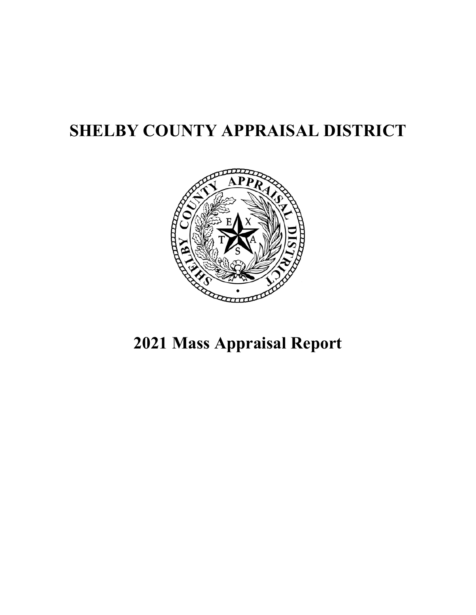## **SHELBY COUNTY APPRAISAL DISTRICT**



# **2021 Mass Appraisal Report**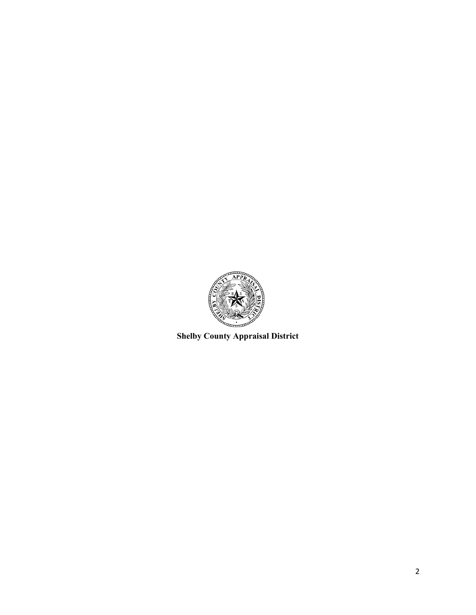

**Shelby County Appraisal District**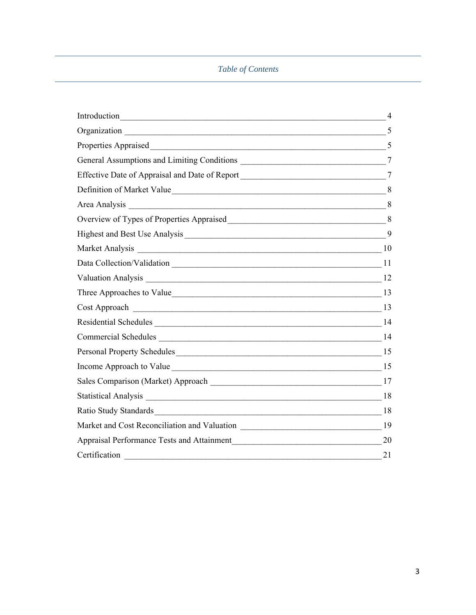## *Table of Contents*

| Introduction https://www.archive.com/communication/communication/communication/communication/communication/communication/communication/communication/communication/communication/communication/communication/communication/com | 4              |
|--------------------------------------------------------------------------------------------------------------------------------------------------------------------------------------------------------------------------------|----------------|
|                                                                                                                                                                                                                                |                |
| Properties Appraised 5                                                                                                                                                                                                         |                |
|                                                                                                                                                                                                                                |                |
| Effective Date of Appraisal and Date of Report _________________________________                                                                                                                                               | $\overline{7}$ |
|                                                                                                                                                                                                                                |                |
|                                                                                                                                                                                                                                |                |
|                                                                                                                                                                                                                                |                |
|                                                                                                                                                                                                                                | 9              |
|                                                                                                                                                                                                                                |                |
|                                                                                                                                                                                                                                |                |
|                                                                                                                                                                                                                                |                |
|                                                                                                                                                                                                                                |                |
|                                                                                                                                                                                                                                |                |
|                                                                                                                                                                                                                                |                |
|                                                                                                                                                                                                                                |                |
|                                                                                                                                                                                                                                |                |
|                                                                                                                                                                                                                                |                |
|                                                                                                                                                                                                                                |                |
|                                                                                                                                                                                                                                |                |
| Ratio Study Standards 18                                                                                                                                                                                                       |                |
|                                                                                                                                                                                                                                |                |
|                                                                                                                                                                                                                                | 20             |
| Certification                                                                                                                                                                                                                  | 21             |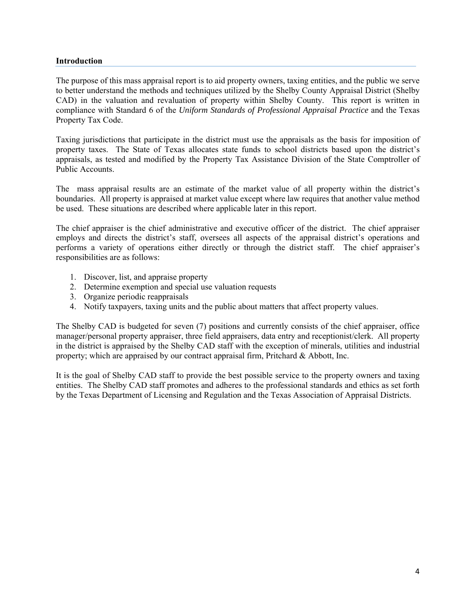#### **Introduction**

The purpose of this mass appraisal report is to aid property owners, taxing entities, and the public we serve to better understand the methods and techniques utilized by the Shelby County Appraisal District (Shelby CAD) in the valuation and revaluation of property within Shelby County. This report is written in compliance with Standard 6 of the *Uniform Standards of Professional Appraisal Practice* and the Texas Property Tax Code.

Taxing jurisdictions that participate in the district must use the appraisals as the basis for imposition of property taxes. The State of Texas allocates state funds to school districts based upon the district's appraisals, as tested and modified by the Property Tax Assistance Division of the State Comptroller of Public Accounts.

The mass appraisal results are an estimate of the market value of all property within the district's boundaries. All property is appraised at market value except where law requires that another value method be used. These situations are described where applicable later in this report.

The chief appraiser is the chief administrative and executive officer of the district. The chief appraiser employs and directs the district's staff, oversees all aspects of the appraisal district's operations and performs a variety of operations either directly or through the district staff. The chief appraiser's responsibilities are as follows:

- 1. Discover, list, and appraise property
- 2. Determine exemption and special use valuation requests
- 3. Organize periodic reappraisals
- 4. Notify taxpayers, taxing units and the public about matters that affect property values.

The Shelby CAD is budgeted for seven (7) positions and currently consists of the chief appraiser, office manager/personal property appraiser, three field appraisers, data entry and receptionist/clerk. All property in the district is appraised by the Shelby CAD staff with the exception of minerals, utilities and industrial property; which are appraised by our contract appraisal firm, Pritchard & Abbott, Inc.

It is the goal of Shelby CAD staff to provide the best possible service to the property owners and taxing entities. The Shelby CAD staff promotes and adheres to the professional standards and ethics as set forth by the Texas Department of Licensing and Regulation and the Texas Association of Appraisal Districts.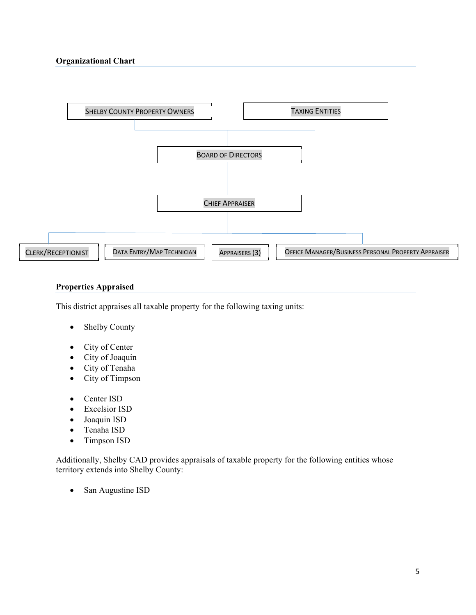

## **Properties Appraised**

This district appraises all taxable property for the following taxing units:

- Shelby County
- City of Center
- City of Joaquin
- City of Tenaha
- City of Timpson
- Center ISD
- Excelsior ISD
- Joaquin ISD
- Tenaha ISD
- Timpson ISD

Additionally, Shelby CAD provides appraisals of taxable property for the following entities whose territory extends into Shelby County:

• San Augustine ISD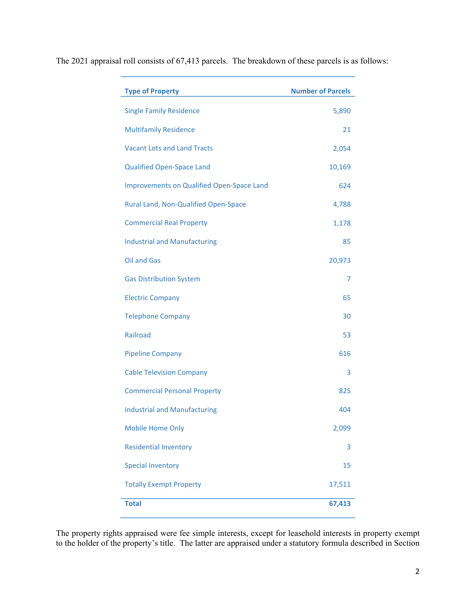| <b>Type of Property</b>                   | <b>Number of Parcels</b> |
|-------------------------------------------|--------------------------|
| <b>Single Family Residence</b>            | 5,890                    |
| <b>Multifamily Residence</b>              | 21                       |
| <b>Vacant Lots and Land Tracts</b>        | 2,054                    |
| <b>Qualified Open-Space Land</b>          | 10,169                   |
| Improvements on Qualified Open-Space Land | 624                      |
| Rural Land, Non-Qualified Open-Space      | 4,788                    |
| <b>Commercial Real Property</b>           | 1,178                    |
| <b>Industrial and Manufacturing</b>       | 85                       |
| <b>Oil and Gas</b>                        | 20,973                   |
| <b>Gas Distribution System</b>            | 7                        |
| <b>Electric Company</b>                   | 65                       |
| <b>Telephone Company</b>                  | 30                       |
| Railroad                                  | 53                       |
| <b>Pipeline Company</b>                   | 616                      |
| <b>Cable Television Company</b>           | 3                        |
| <b>Commercial Personal Property</b>       | 825                      |
| <b>Industrial and Manufacturing</b>       | 404                      |
| Mobile Home Only                          | 2,099                    |
| <b>Residential Inventory</b>              | 3                        |
| <b>Special Inventory</b>                  | 15                       |
| <b>Totally Exempt Property</b>            | 17,511                   |
| <b>Total</b>                              | 67,413                   |

The 2021 appraisal roll consists of 67,413 parcels. The breakdown of these parcels is as follows:

The property rights appraised were fee simple interests, except for leasehold interests in property exempt to the holder of the property's title. The latter are appraised under a statutory formula described in Section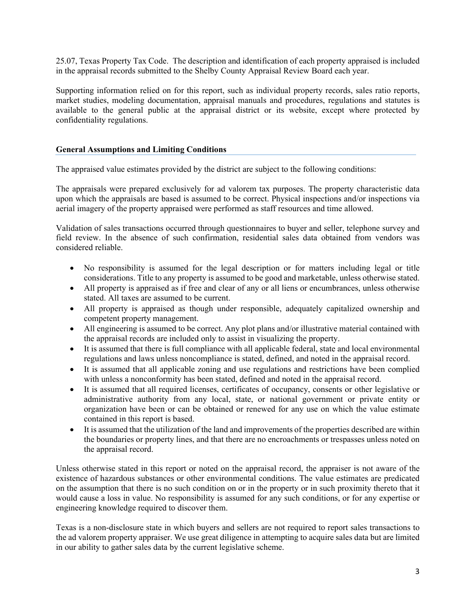25.07, Texas Property Tax Code. The description and identification of each property appraised is included in the appraisal records submitted to the Shelby County Appraisal Review Board each year.

Supporting information relied on for this report, such as individual property records, sales ratio reports, market studies, modeling documentation, appraisal manuals and procedures, regulations and statutes is available to the general public at the appraisal district or its website, except where protected by confidentiality regulations.

## **General Assumptions and Limiting Conditions**

The appraised value estimates provided by the district are subject to the following conditions:

The appraisals were prepared exclusively for ad valorem tax purposes. The property characteristic data upon which the appraisals are based is assumed to be correct. Physical inspections and/or inspections via aerial imagery of the property appraised were performed as staff resources and time allowed.

Validation of sales transactions occurred through questionnaires to buyer and seller, telephone survey and field review. In the absence of such confirmation, residential sales data obtained from vendors was considered reliable.

- No responsibility is assumed for the legal description or for matters including legal or title considerations. Title to any property is assumed to be good and marketable, unless otherwise stated.
- All property is appraised as if free and clear of any or all liens or encumbrances, unless otherwise stated. All taxes are assumed to be current.
- All property is appraised as though under responsible, adequately capitalized ownership and competent property management.
- All engineering is assumed to be correct. Any plot plans and/or illustrative material contained with the appraisal records are included only to assist in visualizing the property.
- It is assumed that there is full compliance with all applicable federal, state and local environmental regulations and laws unless noncompliance is stated, defined, and noted in the appraisal record.
- It is assumed that all applicable zoning and use regulations and restrictions have been complied with unless a nonconformity has been stated, defined and noted in the appraisal record.
- It is assumed that all required licenses, certificates of occupancy, consents or other legislative or administrative authority from any local, state, or national government or private entity or organization have been or can be obtained or renewed for any use on which the value estimate contained in this report is based.
- It is assumed that the utilization of the land and improvements of the properties described are within the boundaries or property lines, and that there are no encroachments or trespasses unless noted on the appraisal record.

Unless otherwise stated in this report or noted on the appraisal record, the appraiser is not aware of the existence of hazardous substances or other environmental conditions. The value estimates are predicated on the assumption that there is no such condition on or in the property or in such proximity thereto that it would cause a loss in value. No responsibility is assumed for any such conditions, or for any expertise or engineering knowledge required to discover them.

Texas is a non-disclosure state in which buyers and sellers are not required to report sales transactions to the ad valorem property appraiser. We use great diligence in attempting to acquire sales data but are limited in our ability to gather sales data by the current legislative scheme.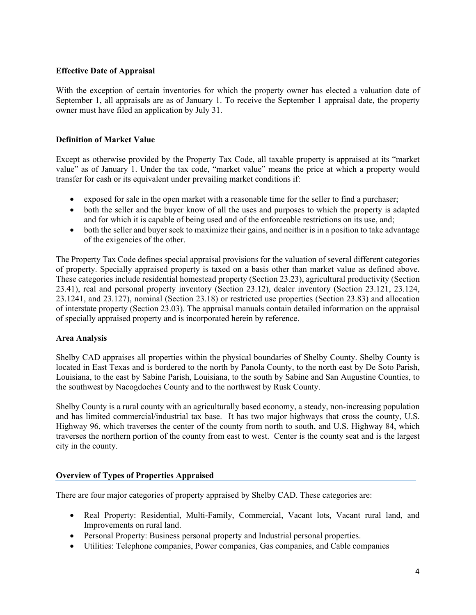## **Effective Date of Appraisal**

With the exception of certain inventories for which the property owner has elected a valuation date of September 1, all appraisals are as of January 1. To receive the September 1 appraisal date, the property owner must have filed an application by July 31.

## **Definition of Market Value**

Except as otherwise provided by the Property Tax Code, all taxable property is appraised at its "market value" as of January 1. Under the tax code, "market value" means the price at which a property would transfer for cash or its equivalent under prevailing market conditions if:

- exposed for sale in the open market with a reasonable time for the seller to find a purchaser;
- both the seller and the buyer know of all the uses and purposes to which the property is adapted and for which it is capable of being used and of the enforceable restrictions on its use, and;
- both the seller and buyer seek to maximize their gains, and neither is in a position to take advantage of the exigencies of the other.

The Property Tax Code defines special appraisal provisions for the valuation of several different categories of property. Specially appraised property is taxed on a basis other than market value as defined above. These categories include residential homestead property (Section 23.23), agricultural productivity (Section 23.41), real and personal property inventory (Section 23.12), dealer inventory (Section 23.121, 23.124, 23.1241, and 23.127), nominal (Section 23.18) or restricted use properties (Section 23.83) and allocation of interstate property (Section 23.03). The appraisal manuals contain detailed information on the appraisal of specially appraised property and is incorporated herein by reference.

## **Area Analysis**

Shelby CAD appraises all properties within the physical boundaries of Shelby County. Shelby County is located in East Texas and is bordered to the north by Panola County, to the north east by De Soto Parish, Louisiana, to the east by Sabine Parish, Louisiana, to the south by Sabine and San Augustine Counties, to the southwest by Nacogdoches County and to the northwest by Rusk County.

Shelby County is a rural county with an agriculturally based economy, a steady, non-increasing population and has limited commercial/industrial tax base. It has two major highways that cross the county, U.S. Highway 96, which traverses the center of the county from north to south, and U.S. Highway 84, which traverses the northern portion of the county from east to west. Center is the county seat and is the largest city in the county.

## **Overview of Types of Properties Appraised**

There are four major categories of property appraised by Shelby CAD. These categories are:

- Real Property: Residential, Multi-Family, Commercial, Vacant lots, Vacant rural land, and Improvements on rural land.
- Personal Property: Business personal property and Industrial personal properties.
- Utilities: Telephone companies, Power companies, Gas companies, and Cable companies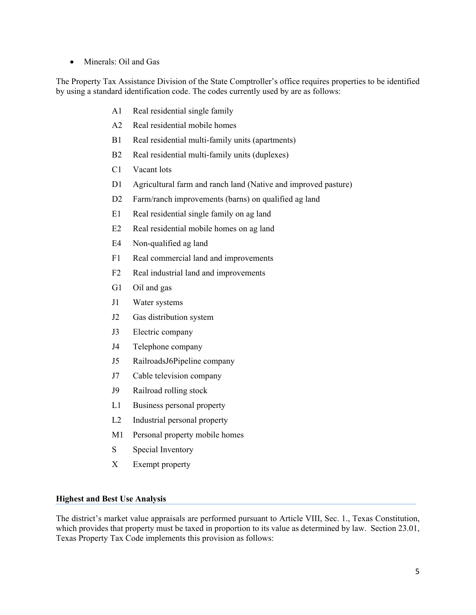• Minerals: Oil and Gas

The Property Tax Assistance Division of the State Comptroller's office requires properties to be identified by using a standard identification code. The codes currently used by are as follows:

- A1 Real residential single family
- A2 Real residential mobile homes
- B1 Real residential multi-family units (apartments)
- B2 Real residential multi-family units (duplexes)
- C1 Vacant lots
- D1 Agricultural farm and ranch land (Native and improved pasture)
- D2 Farm/ranch improvements (barns) on qualified ag land
- E1 Real residential single family on ag land
- E2 Real residential mobile homes on ag land
- E4 Non-qualified ag land
- F1 Real commercial land and improvements
- F2 Real industrial land and improvements
- G1 Oil and gas
- J1 Water systems
- J2 Gas distribution system
- J3 Electric company
- J4 Telephone company
- J5 RailroadsJ6Pipeline company
- J7 Cable television company
- J9 Railroad rolling stock
- L1 Business personal property
- L2 Industrial personal property
- M1 Personal property mobile homes
- S Special Inventory
- X Exempt property

## **Highest and Best Use Analysis**

The district's market value appraisals are performed pursuant to Article VIII, Sec. 1., Texas Constitution, which provides that property must be taxed in proportion to its value as determined by law. Section 23.01, Texas Property Tax Code implements this provision as follows: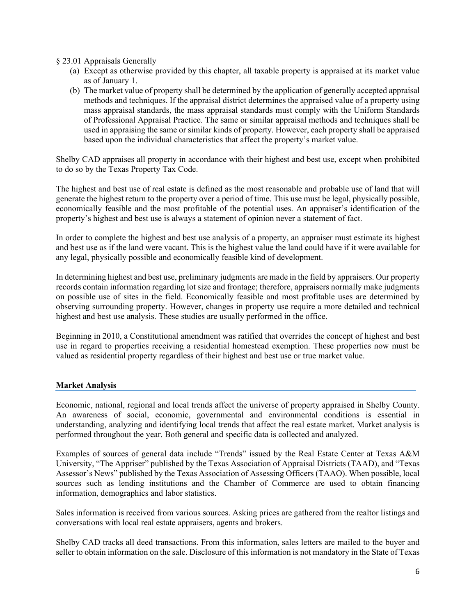§ 23.01 Appraisals Generally

- (a) Except as otherwise provided by this chapter, all taxable property is appraised at its market value as of January 1.
- (b) The market value of property shall be determined by the application of generally accepted appraisal methods and techniques. If the appraisal district determines the appraised value of a property using mass appraisal standards, the mass appraisal standards must comply with the Uniform Standards of Professional Appraisal Practice. The same or similar appraisal methods and techniques shall be used in appraising the same or similar kinds of property. However, each property shall be appraised based upon the individual characteristics that affect the property's market value.

Shelby CAD appraises all property in accordance with their highest and best use, except when prohibited to do so by the Texas Property Tax Code.

The highest and best use of real estate is defined as the most reasonable and probable use of land that will generate the highest return to the property over a period of time. This use must be legal, physically possible, economically feasible and the most profitable of the potential uses. An appraiser's identification of the property's highest and best use is always a statement of opinion never a statement of fact.

In order to complete the highest and best use analysis of a property, an appraiser must estimate its highest and best use as if the land were vacant. This is the highest value the land could have if it were available for any legal, physically possible and economically feasible kind of development.

In determining highest and best use, preliminary judgments are made in the field by appraisers. Our property records contain information regarding lot size and frontage; therefore, appraisers normally make judgments on possible use of sites in the field. Economically feasible and most profitable uses are determined by observing surrounding property. However, changes in property use require a more detailed and technical highest and best use analysis. These studies are usually performed in the office.

Beginning in 2010, a Constitutional amendment was ratified that overrides the concept of highest and best use in regard to properties receiving a residential homestead exemption. These properties now must be valued as residential property regardless of their highest and best use or true market value.

## **Market Analysis**

Economic, national, regional and local trends affect the universe of property appraised in Shelby County. An awareness of social, economic, governmental and environmental conditions is essential in understanding, analyzing and identifying local trends that affect the real estate market. Market analysis is performed throughout the year. Both general and specific data is collected and analyzed.

Examples of sources of general data include "Trends" issued by the Real Estate Center at Texas A&M University, "The Appriser" published by the Texas Association of Appraisal Districts (TAAD), and "Texas Assessor's News" published by the Texas Association of Assessing Officers (TAAO). When possible, local sources such as lending institutions and the Chamber of Commerce are used to obtain financing information, demographics and labor statistics.

Sales information is received from various sources. Asking prices are gathered from the realtor listings and conversations with local real estate appraisers, agents and brokers.

Shelby CAD tracks all deed transactions. From this information, sales letters are mailed to the buyer and seller to obtain information on the sale. Disclosure of this information is not mandatory in the State of Texas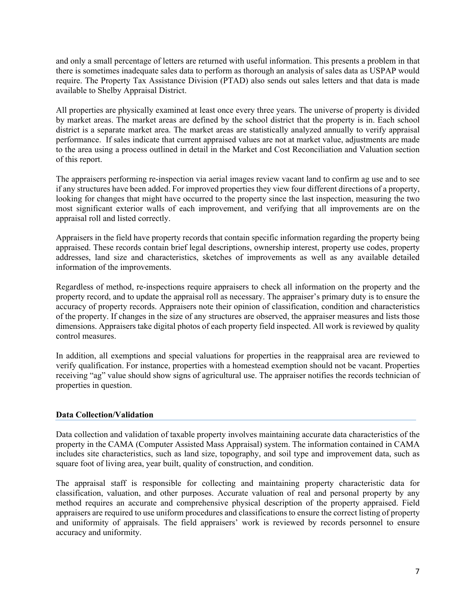and only a small percentage of letters are returned with useful information. This presents a problem in that there is sometimes inadequate sales data to perform as thorough an analysis of sales data as USPAP would require. The Property Tax Assistance Division (PTAD) also sends out sales letters and that data is made available to Shelby Appraisal District.

All properties are physically examined at least once every three years. The universe of property is divided by market areas. The market areas are defined by the school district that the property is in. Each school district is a separate market area. The market areas are statistically analyzed annually to verify appraisal performance. If sales indicate that current appraised values are not at market value, adjustments are made to the area using a process outlined in detail in the Market and Cost Reconciliation and Valuation section of this report.

The appraisers performing re-inspection via aerial images review vacant land to confirm ag use and to see if any structures have been added. For improved properties they view four different directions of a property, looking for changes that might have occurred to the property since the last inspection, measuring the two most significant exterior walls of each improvement, and verifying that all improvements are on the appraisal roll and listed correctly.

Appraisers in the field have property records that contain specific information regarding the property being appraised. These records contain brief legal descriptions, ownership interest, property use codes, property addresses, land size and characteristics, sketches of improvements as well as any available detailed information of the improvements.

Regardless of method, re-inspections require appraisers to check all information on the property and the property record, and to update the appraisal roll as necessary. The appraiser's primary duty is to ensure the accuracy of property records. Appraisers note their opinion of classification, condition and characteristics of the property. If changes in the size of any structures are observed, the appraiser measures and lists those dimensions. Appraisers take digital photos of each property field inspected. All work is reviewed by quality control measures.

In addition, all exemptions and special valuations for properties in the reappraisal area are reviewed to verify qualification. For instance, properties with a homestead exemption should not be vacant. Properties receiving "ag" value should show signs of agricultural use. The appraiser notifies the records technician of properties in question.

## **Data Collection/Validation**

Data collection and validation of taxable property involves maintaining accurate data characteristics of the property in the CAMA (Computer Assisted Mass Appraisal) system. The information contained in CAMA includes site characteristics, such as land size, topography, and soil type and improvement data, such as square foot of living area, year built, quality of construction, and condition.

The appraisal staff is responsible for collecting and maintaining property characteristic data for classification, valuation, and other purposes. Accurate valuation of real and personal property by any method requires an accurate and comprehensive physical description of the property appraised. Field appraisers are required to use uniform procedures and classifications to ensure the correct listing of property and uniformity of appraisals. The field appraisers' work is reviewed by records personnel to ensure accuracy and uniformity.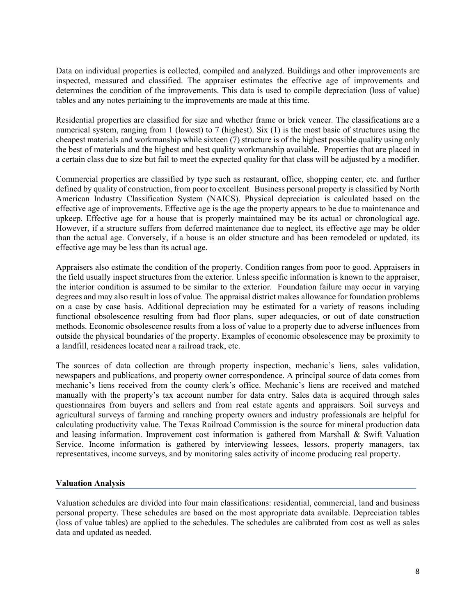Data on individual properties is collected, compiled and analyzed. Buildings and other improvements are inspected, measured and classified. The appraiser estimates the effective age of improvements and determines the condition of the improvements. This data is used to compile depreciation (loss of value) tables and any notes pertaining to the improvements are made at this time.

Residential properties are classified for size and whether frame or brick veneer. The classifications are a numerical system, ranging from 1 (lowest) to 7 (highest). Six (1) is the most basic of structures using the cheapest materials and workmanship while sixteen (7) structure is of the highest possible quality using only the best of materials and the highest and best quality workmanship available. Properties that are placed in a certain class due to size but fail to meet the expected quality for that class will be adjusted by a modifier.

Commercial properties are classified by type such as restaurant, office, shopping center, etc. and further defined by quality of construction, from poor to excellent. Business personal property is classified by North American Industry Classification System (NAICS). Physical depreciation is calculated based on the effective age of improvements. Effective age is the age the property appears to be due to maintenance and upkeep. Effective age for a house that is properly maintained may be its actual or chronological age. However, if a structure suffers from deferred maintenance due to neglect, its effective age may be older than the actual age. Conversely, if a house is an older structure and has been remodeled or updated, its effective age may be less than its actual age.

Appraisers also estimate the condition of the property. Condition ranges from poor to good. Appraisers in the field usually inspect structures from the exterior. Unless specific information is known to the appraiser, the interior condition is assumed to be similar to the exterior. Foundation failure may occur in varying degrees and may also result in loss of value. The appraisal district makes allowance for foundation problems on a case by case basis. Additional depreciation may be estimated for a variety of reasons including functional obsolescence resulting from bad floor plans, super adequacies, or out of date construction methods. Economic obsolescence results from a loss of value to a property due to adverse influences from outside the physical boundaries of the property. Examples of economic obsolescence may be proximity to a landfill, residences located near a railroad track, etc.

The sources of data collection are through property inspection, mechanic's liens, sales validation, newspapers and publications, and property owner correspondence. A principal source of data comes from mechanic's liens received from the county clerk's office. Mechanic's liens are received and matched manually with the property's tax account number for data entry. Sales data is acquired through sales questionnaires from buyers and sellers and from real estate agents and appraisers. Soil surveys and agricultural surveys of farming and ranching property owners and industry professionals are helpful for calculating productivity value. The Texas Railroad Commission is the source for mineral production data and leasing information. Improvement cost information is gathered from Marshall & Swift Valuation Service. Income information is gathered by interviewing lessees, lessors, property managers, tax representatives, income surveys, and by monitoring sales activity of income producing real property.

## **Valuation Analysis**

Valuation schedules are divided into four main classifications: residential, commercial, land and business personal property. These schedules are based on the most appropriate data available. Depreciation tables (loss of value tables) are applied to the schedules. The schedules are calibrated from cost as well as sales data and updated as needed.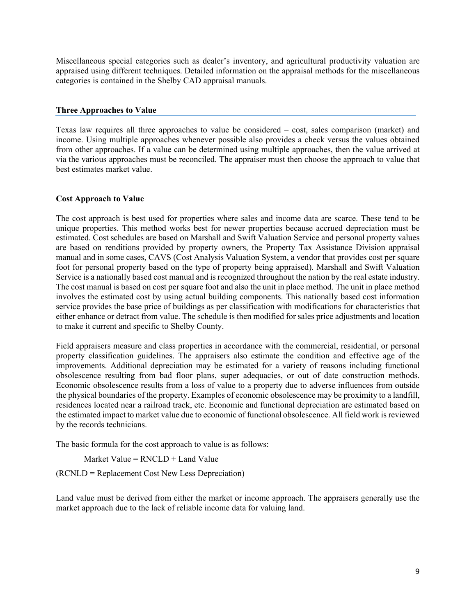Miscellaneous special categories such as dealer's inventory, and agricultural productivity valuation are appraised using different techniques. Detailed information on the appraisal methods for the miscellaneous categories is contained in the Shelby CAD appraisal manuals.

#### **Three Approaches to Value**

Texas law requires all three approaches to value be considered – cost, sales comparison (market) and income. Using multiple approaches whenever possible also provides a check versus the values obtained from other approaches. If a value can be determined using multiple approaches, then the value arrived at via the various approaches must be reconciled. The appraiser must then choose the approach to value that best estimates market value.

#### **Cost Approach to Value**

The cost approach is best used for properties where sales and income data are scarce. These tend to be unique properties. This method works best for newer properties because accrued depreciation must be estimated. Cost schedules are based on Marshall and Swift Valuation Service and personal property values are based on renditions provided by property owners, the Property Tax Assistance Division appraisal manual and in some cases, CAVS (Cost Analysis Valuation System, a vendor that provides cost per square foot for personal property based on the type of property being appraised). Marshall and Swift Valuation Service is a nationally based cost manual and is recognized throughout the nation by the real estate industry. The cost manual is based on cost per square foot and also the unit in place method. The unit in place method involves the estimated cost by using actual building components. This nationally based cost information service provides the base price of buildings as per classification with modifications for characteristics that either enhance or detract from value. The schedule is then modified for sales price adjustments and location to make it current and specific to Shelby County.

Field appraisers measure and class properties in accordance with the commercial, residential, or personal property classification guidelines. The appraisers also estimate the condition and effective age of the improvements. Additional depreciation may be estimated for a variety of reasons including functional obsolescence resulting from bad floor plans, super adequacies, or out of date construction methods. Economic obsolescence results from a loss of value to a property due to adverse influences from outside the physical boundaries of the property. Examples of economic obsolescence may be proximity to a landfill, residences located near a railroad track, etc. Economic and functional depreciation are estimated based on the estimated impact to market value due to economic of functional obsolescence. All field work is reviewed by the records technicians.

The basic formula for the cost approach to value is as follows:

Market Value =  $RNCLD + Land$  Value

(RCNLD = Replacement Cost New Less Depreciation)

Land value must be derived from either the market or income approach. The appraisers generally use the market approach due to the lack of reliable income data for valuing land.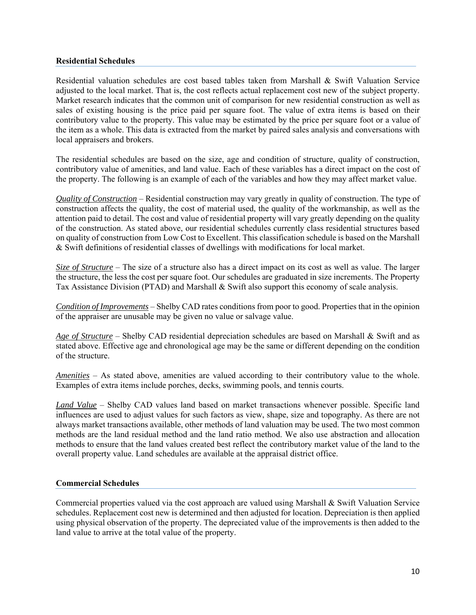#### **Residential Schedules**

Residential valuation schedules are cost based tables taken from Marshall & Swift Valuation Service adjusted to the local market. That is, the cost reflects actual replacement cost new of the subject property. Market research indicates that the common unit of comparison for new residential construction as well as sales of existing housing is the price paid per square foot. The value of extra items is based on their contributory value to the property. This value may be estimated by the price per square foot or a value of the item as a whole. This data is extracted from the market by paired sales analysis and conversations with local appraisers and brokers.

The residential schedules are based on the size, age and condition of structure, quality of construction, contributory value of amenities, and land value. Each of these variables has a direct impact on the cost of the property. The following is an example of each of the variables and how they may affect market value.

*Quality of Construction* – Residential construction may vary greatly in quality of construction. The type of construction affects the quality, the cost of material used, the quality of the workmanship, as well as the attention paid to detail. The cost and value of residential property will vary greatly depending on the quality of the construction. As stated above, our residential schedules currently class residential structures based on quality of construction from Low Cost to Excellent. This classification schedule is based on the Marshall & Swift definitions of residential classes of dwellings with modifications for local market.

*Size of Structure* – The size of a structure also has a direct impact on its cost as well as value. The larger the structure, the less the cost per square foot. Our schedules are graduated in size increments. The Property Tax Assistance Division (PTAD) and Marshall & Swift also support this economy of scale analysis.

*Condition of Improvements* – Shelby CAD rates conditions from poor to good. Properties that in the opinion of the appraiser are unusable may be given no value or salvage value.

*Age of Structure* – Shelby CAD residential depreciation schedules are based on Marshall & Swift and as stated above. Effective age and chronological age may be the same or different depending on the condition of the structure.

*Amenities* – As stated above, amenities are valued according to their contributory value to the whole. Examples of extra items include porches, decks, swimming pools, and tennis courts.

*Land Value* – Shelby CAD values land based on market transactions whenever possible. Specific land influences are used to adjust values for such factors as view, shape, size and topography. As there are not always market transactions available, other methods of land valuation may be used. The two most common methods are the land residual method and the land ratio method. We also use abstraction and allocation methods to ensure that the land values created best reflect the contributory market value of the land to the overall property value. Land schedules are available at the appraisal district office.

## **Commercial Schedules**

Commercial properties valued via the cost approach are valued using Marshall & Swift Valuation Service schedules. Replacement cost new is determined and then adjusted for location. Depreciation is then applied using physical observation of the property. The depreciated value of the improvements is then added to the land value to arrive at the total value of the property.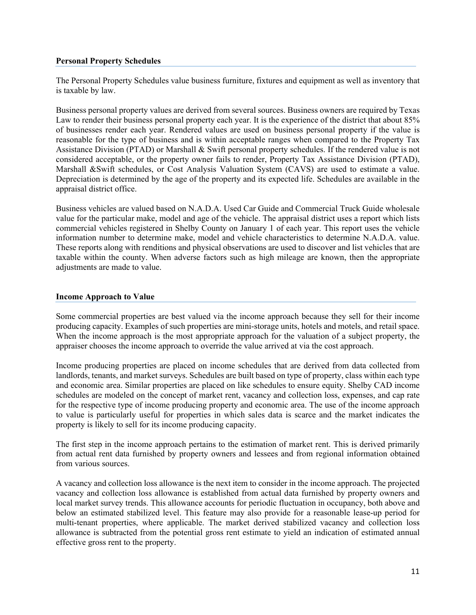## **Personal Property Schedules**

The Personal Property Schedules value business furniture, fixtures and equipment as well as inventory that is taxable by law.

Business personal property values are derived from several sources. Business owners are required by Texas Law to render their business personal property each year. It is the experience of the district that about 85% of businesses render each year. Rendered values are used on business personal property if the value is reasonable for the type of business and is within acceptable ranges when compared to the Property Tax Assistance Division (PTAD) or Marshall & Swift personal property schedules. If the rendered value is not considered acceptable, or the property owner fails to render, Property Tax Assistance Division (PTAD), Marshall &Swift schedules, or Cost Analysis Valuation System (CAVS) are used to estimate a value. Depreciation is determined by the age of the property and its expected life. Schedules are available in the appraisal district office.

Business vehicles are valued based on N.A.D.A. Used Car Guide and Commercial Truck Guide wholesale value for the particular make, model and age of the vehicle. The appraisal district uses a report which lists commercial vehicles registered in Shelby County on January 1 of each year. This report uses the vehicle information number to determine make, model and vehicle characteristics to determine N.A.D.A. value. These reports along with renditions and physical observations are used to discover and list vehicles that are taxable within the county. When adverse factors such as high mileage are known, then the appropriate adjustments are made to value.

#### **Income Approach to Value**

Some commercial properties are best valued via the income approach because they sell for their income producing capacity. Examples of such properties are mini-storage units, hotels and motels, and retail space. When the income approach is the most appropriate approach for the valuation of a subject property, the appraiser chooses the income approach to override the value arrived at via the cost approach.

Income producing properties are placed on income schedules that are derived from data collected from landlords, tenants, and market surveys. Schedules are built based on type of property, class within each type and economic area. Similar properties are placed on like schedules to ensure equity. Shelby CAD income schedules are modeled on the concept of market rent, vacancy and collection loss, expenses, and cap rate for the respective type of income producing property and economic area. The use of the income approach to value is particularly useful for properties in which sales data is scarce and the market indicates the property is likely to sell for its income producing capacity.

The first step in the income approach pertains to the estimation of market rent. This is derived primarily from actual rent data furnished by property owners and lessees and from regional information obtained from various sources.

A vacancy and collection loss allowance is the next item to consider in the income approach. The projected vacancy and collection loss allowance is established from actual data furnished by property owners and local market survey trends. This allowance accounts for periodic fluctuation in occupancy, both above and below an estimated stabilized level. This feature may also provide for a reasonable lease-up period for multi-tenant properties, where applicable. The market derived stabilized vacancy and collection loss allowance is subtracted from the potential gross rent estimate to yield an indication of estimated annual effective gross rent to the property.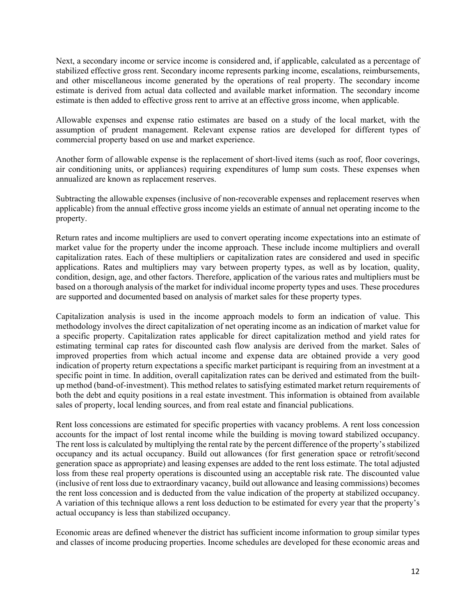Next, a secondary income or service income is considered and, if applicable, calculated as a percentage of stabilized effective gross rent. Secondary income represents parking income, escalations, reimbursements, and other miscellaneous income generated by the operations of real property. The secondary income estimate is derived from actual data collected and available market information. The secondary income estimate is then added to effective gross rent to arrive at an effective gross income, when applicable.

Allowable expenses and expense ratio estimates are based on a study of the local market, with the assumption of prudent management. Relevant expense ratios are developed for different types of commercial property based on use and market experience.

Another form of allowable expense is the replacement of short-lived items (such as roof, floor coverings, air conditioning units, or appliances) requiring expenditures of lump sum costs. These expenses when annualized are known as replacement reserves.

Subtracting the allowable expenses (inclusive of non-recoverable expenses and replacement reserves when applicable) from the annual effective gross income yields an estimate of annual net operating income to the property.

Return rates and income multipliers are used to convert operating income expectations into an estimate of market value for the property under the income approach. These include income multipliers and overall capitalization rates. Each of these multipliers or capitalization rates are considered and used in specific applications. Rates and multipliers may vary between property types, as well as by location, quality, condition, design, age, and other factors. Therefore, application of the various rates and multipliers must be based on a thorough analysis of the market for individual income property types and uses. These procedures are supported and documented based on analysis of market sales for these property types.

Capitalization analysis is used in the income approach models to form an indication of value. This methodology involves the direct capitalization of net operating income as an indication of market value for a specific property. Capitalization rates applicable for direct capitalization method and yield rates for estimating terminal cap rates for discounted cash flow analysis are derived from the market. Sales of improved properties from which actual income and expense data are obtained provide a very good indication of property return expectations a specific market participant is requiring from an investment at a specific point in time. In addition, overall capitalization rates can be derived and estimated from the builtup method (band-of-investment). This method relates to satisfying estimated market return requirements of both the debt and equity positions in a real estate investment. This information is obtained from available sales of property, local lending sources, and from real estate and financial publications.

Rent loss concessions are estimated for specific properties with vacancy problems. A rent loss concession accounts for the impact of lost rental income while the building is moving toward stabilized occupancy. The rent loss is calculated by multiplying the rental rate by the percent difference of the property's stabilized occupancy and its actual occupancy. Build out allowances (for first generation space or retrofit/second generation space as appropriate) and leasing expenses are added to the rent loss estimate. The total adjusted loss from these real property operations is discounted using an acceptable risk rate. The discounted value (inclusive of rent loss due to extraordinary vacancy, build out allowance and leasing commissions) becomes the rent loss concession and is deducted from the value indication of the property at stabilized occupancy. A variation of this technique allows a rent loss deduction to be estimated for every year that the property's actual occupancy is less than stabilized occupancy.

Economic areas are defined whenever the district has sufficient income information to group similar types and classes of income producing properties. Income schedules are developed for these economic areas and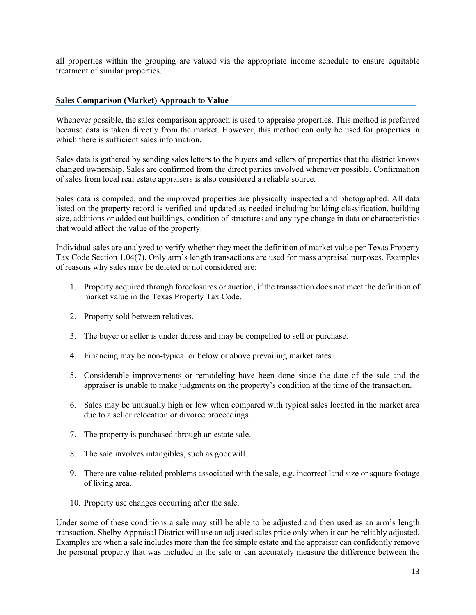all properties within the grouping are valued via the appropriate income schedule to ensure equitable treatment of similar properties.

### **Sales Comparison (Market) Approach to Value**

Whenever possible, the sales comparison approach is used to appraise properties. This method is preferred because data is taken directly from the market. However, this method can only be used for properties in which there is sufficient sales information.

Sales data is gathered by sending sales letters to the buyers and sellers of properties that the district knows changed ownership. Sales are confirmed from the direct parties involved whenever possible. Confirmation of sales from local real estate appraisers is also considered a reliable source.

Sales data is compiled, and the improved properties are physically inspected and photographed. All data listed on the property record is verified and updated as needed including building classification, building size, additions or added out buildings, condition of structures and any type change in data or characteristics that would affect the value of the property.

Individual sales are analyzed to verify whether they meet the definition of market value per Texas Property Tax Code Section 1.04(7). Only arm's length transactions are used for mass appraisal purposes. Examples of reasons why sales may be deleted or not considered are:

- 1. Property acquired through foreclosures or auction, if the transaction does not meet the definition of market value in the Texas Property Tax Code.
- 2. Property sold between relatives.
- 3. The buyer or seller is under duress and may be compelled to sell or purchase.
- 4. Financing may be non-typical or below or above prevailing market rates.
- 5. Considerable improvements or remodeling have been done since the date of the sale and the appraiser is unable to make judgments on the property's condition at the time of the transaction.
- 6. Sales may be unusually high or low when compared with typical sales located in the market area due to a seller relocation or divorce proceedings.
- 7. The property is purchased through an estate sale.
- 8. The sale involves intangibles, such as goodwill.
- 9. There are value-related problems associated with the sale, e.g. incorrect land size or square footage of living area.
- 10. Property use changes occurring after the sale.

Under some of these conditions a sale may still be able to be adjusted and then used as an arm's length transaction. Shelby Appraisal District will use an adjusted sales price only when it can be reliably adjusted. Examples are when a sale includes more than the fee simple estate and the appraiser can confidently remove the personal property that was included in the sale or can accurately measure the difference between the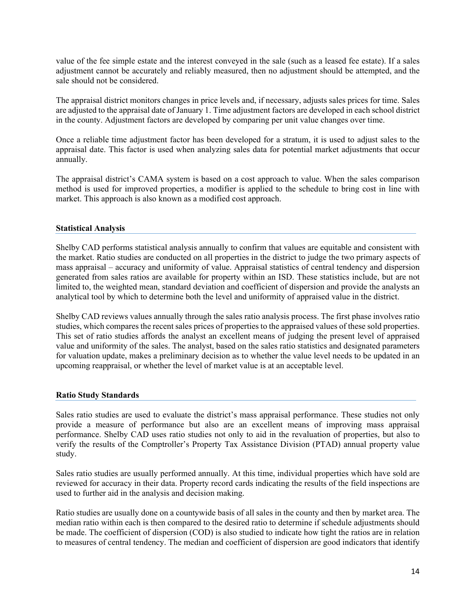value of the fee simple estate and the interest conveyed in the sale (such as a leased fee estate). If a sales adjustment cannot be accurately and reliably measured, then no adjustment should be attempted, and the sale should not be considered.

The appraisal district monitors changes in price levels and, if necessary, adjusts sales prices for time. Sales are adjusted to the appraisal date of January 1. Time adjustment factors are developed in each school district in the county. Adjustment factors are developed by comparing per unit value changes over time.

Once a reliable time adjustment factor has been developed for a stratum, it is used to adjust sales to the appraisal date. This factor is used when analyzing sales data for potential market adjustments that occur annually.

The appraisal district's CAMA system is based on a cost approach to value. When the sales comparison method is used for improved properties, a modifier is applied to the schedule to bring cost in line with market. This approach is also known as a modified cost approach.

## **Statistical Analysis**

Shelby CAD performs statistical analysis annually to confirm that values are equitable and consistent with the market. Ratio studies are conducted on all properties in the district to judge the two primary aspects of mass appraisal – accuracy and uniformity of value. Appraisal statistics of central tendency and dispersion generated from sales ratios are available for property within an ISD. These statistics include, but are not limited to, the weighted mean, standard deviation and coefficient of dispersion and provide the analysts an analytical tool by which to determine both the level and uniformity of appraised value in the district.

Shelby CAD reviews values annually through the sales ratio analysis process. The first phase involves ratio studies, which compares the recent sales prices of properties to the appraised values of these sold properties. This set of ratio studies affords the analyst an excellent means of judging the present level of appraised value and uniformity of the sales. The analyst, based on the sales ratio statistics and designated parameters for valuation update, makes a preliminary decision as to whether the value level needs to be updated in an upcoming reappraisal, or whether the level of market value is at an acceptable level.

#### **Ratio Study Standards**

Sales ratio studies are used to evaluate the district's mass appraisal performance. These studies not only provide a measure of performance but also are an excellent means of improving mass appraisal performance. Shelby CAD uses ratio studies not only to aid in the revaluation of properties, but also to verify the results of the Comptroller's Property Tax Assistance Division (PTAD) annual property value study.

Sales ratio studies are usually performed annually. At this time, individual properties which have sold are reviewed for accuracy in their data. Property record cards indicating the results of the field inspections are used to further aid in the analysis and decision making.

Ratio studies are usually done on a countywide basis of all sales in the county and then by market area. The median ratio within each is then compared to the desired ratio to determine if schedule adjustments should be made. The coefficient of dispersion (COD) is also studied to indicate how tight the ratios are in relation to measures of central tendency. The median and coefficient of dispersion are good indicators that identify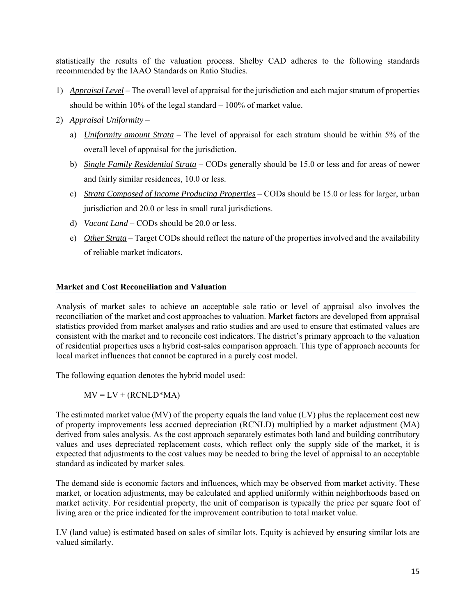statistically the results of the valuation process. Shelby CAD adheres to the following standards recommended by the IAAO Standards on Ratio Studies.

- 1) *Appraisal Level* The overall level of appraisal for the jurisdiction and each major stratum of properties should be within 10% of the legal standard  $-100\%$  of market value.
- 2) *Appraisal Uniformity*
	- a) *Uniformity amount Strata* The level of appraisal for each stratum should be within 5% of the overall level of appraisal for the jurisdiction.
	- b) *Single Family Residential Strata* CODs generally should be 15.0 or less and for areas of newer and fairly similar residences, 10.0 or less.
	- c) *Strata Composed of Income Producing Properties* CODs should be 15.0 or less for larger, urban jurisdiction and 20.0 or less in small rural jurisdictions.
	- d) *Vacant Land* CODs should be 20.0 or less.
	- e) *Other Strata* Target CODs should reflect the nature of the properties involved and the availability of reliable market indicators.

#### **Market and Cost Reconciliation and Valuation**

Analysis of market sales to achieve an acceptable sale ratio or level of appraisal also involves the reconciliation of the market and cost approaches to valuation. Market factors are developed from appraisal statistics provided from market analyses and ratio studies and are used to ensure that estimated values are consistent with the market and to reconcile cost indicators. The district's primary approach to the valuation of residential properties uses a hybrid cost-sales comparison approach. This type of approach accounts for local market influences that cannot be captured in a purely cost model.

The following equation denotes the hybrid model used:

$$
MV = LV + (RCNLD*MA)
$$

The estimated market value (MV) of the property equals the land value (LV) plus the replacement cost new of property improvements less accrued depreciation (RCNLD) multiplied by a market adjustment (MA) derived from sales analysis. As the cost approach separately estimates both land and building contributory values and uses depreciated replacement costs, which reflect only the supply side of the market, it is expected that adjustments to the cost values may be needed to bring the level of appraisal to an acceptable standard as indicated by market sales.

The demand side is economic factors and influences, which may be observed from market activity. These market, or location adjustments, may be calculated and applied uniformly within neighborhoods based on market activity. For residential property, the unit of comparison is typically the price per square foot of living area or the price indicated for the improvement contribution to total market value.

LV (land value) is estimated based on sales of similar lots. Equity is achieved by ensuring similar lots are valued similarly.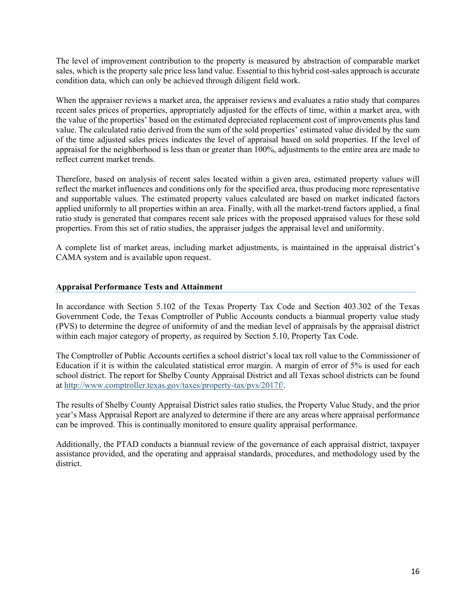The level of improvement contribution to the property is measured by abstraction of comparable market sales, which is the property sale price less land value. Essential to this hybrid cost-sales approach is accurate condition data, which can only be achieved through diligent field work.

When the appraiser reviews a market area, the appraiser reviews and evaluates a ratio study that compares recent sales prices of properties, appropriately adjusted for the effects of time, within a market area, with the value of the properties' based on the estimated depreciated replacement cost of improvements plus land value. The calculated ratio derived from the sum of the sold properties' estimated value divided by the sum of the time adjusted sales prices indicates the level of appraisal based on sold properties. If the level of appraisal for the neighborhood is less than or greater than 100%, adjustments to the entire area are made to reflect current market trends.

Therefore, based on analysis of recent sales located within a given area, estimated property values will reflect the market influences and conditions only for the specified area, thus producing more representative and supportable values. The estimated property values calculated are based on market indicated factors applied uniformly to all properties within an area. Finally, with all the market-trend factors applied, a final ratio study is generated that compares recent sale prices with the proposed appraised values for these sold properties. From this set of ratio studies, the appraiser judges the appraisal level and uniformity.

A complete list of market areas, including market adjustments, is maintained in the appraisal district's CAMA system and is available upon request.

## **Appraisal Performance Tests and Attainment**

In accordance with Section 5.102 of the Texas Property Tax Code and Section 403.302 of the Texas Government Code, the Texas Comptroller of Public Accounts conducts a biannual property value study (PVS) to determine the degree of uniformity of and the median level of appraisals by the appraisal district within each major category of property, as required by Section 5.10, Property Tax Code.

The Comptroller of Public Accounts certifies a school district's local tax roll value to the Commissioner of Education if it is within the calculated statistical error margin. A margin of error of 5% is used for each school district. The report for Shelby County Appraisal District and all Texas school districts can be found at http://www.comptroller.texas.gov/taxes/property-tax/pvs/2017f/.

The results of Shelby County Appraisal District sales ratio studies, the Property Value Study, and the prior year's Mass Appraisal Report are analyzed to determine if there are any areas where appraisal performance can be improved. This is continually monitored to ensure quality appraisal performance.

Additionally, the PTAD conducts a biannual review of the governance of each appraisal district, taxpayer assistance provided, and the operating and appraisal standards, procedures, and methodology used by the district.